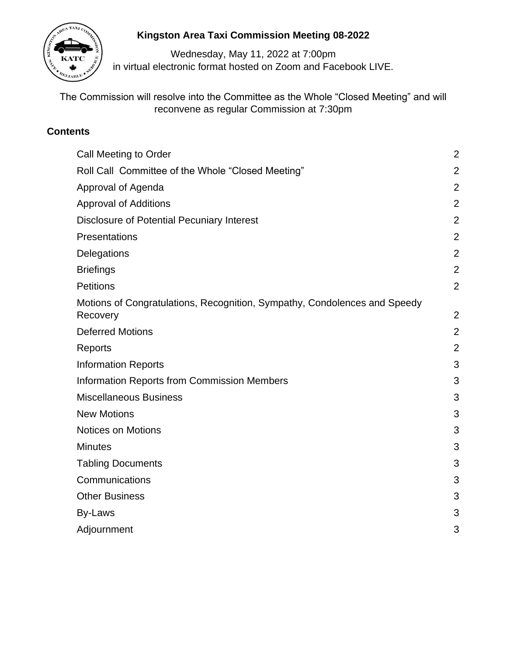

# **Kingston Area Taxi Commission Meeting 08-2022**

Wednesday, May 11, 2022 at 7:00pm in virtual electronic format hosted on Zoom and Facebook LIVE.

The Commission will resolve into the Committee as the Whole "Closed Meeting" and will reconvene as regular Commission at 7:30pm

# **Contents**

| Call Meeting to Order                                                                 | $\overline{2}$ |
|---------------------------------------------------------------------------------------|----------------|
|                                                                                       |                |
| Roll Call Committee of the Whole "Closed Meeting"                                     | $\overline{2}$ |
| Approval of Agenda                                                                    | $\overline{2}$ |
| <b>Approval of Additions</b>                                                          | $\overline{2}$ |
| <b>Disclosure of Potential Pecuniary Interest</b>                                     | $\overline{2}$ |
| Presentations                                                                         | $\overline{2}$ |
| Delegations                                                                           | $\overline{2}$ |
| <b>Briefings</b>                                                                      | $\overline{2}$ |
| <b>Petitions</b>                                                                      | $\overline{2}$ |
| Motions of Congratulations, Recognition, Sympathy, Condolences and Speedy<br>Recovery | $\overline{2}$ |
| <b>Deferred Motions</b>                                                               | $\overline{2}$ |
| Reports                                                                               | $\overline{2}$ |
| <b>Information Reports</b>                                                            | 3              |
| <b>Information Reports from Commission Members</b>                                    | 3              |
| <b>Miscellaneous Business</b>                                                         | 3              |
| <b>New Motions</b>                                                                    | 3              |
| <b>Notices on Motions</b>                                                             | 3              |
| <b>Minutes</b>                                                                        | 3              |
| <b>Tabling Documents</b>                                                              | 3              |
| Communications                                                                        | 3              |
| <b>Other Business</b>                                                                 | 3              |
| By-Laws                                                                               | 3              |
| Adjournment                                                                           | 3              |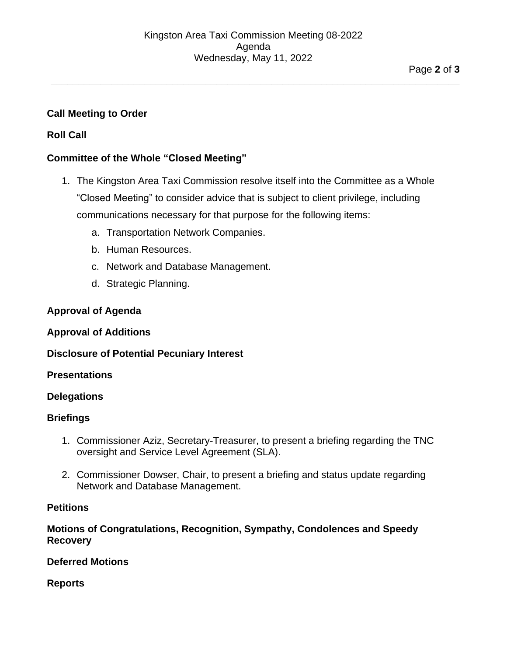**\_\_\_\_\_\_\_\_\_\_\_\_\_\_\_\_\_\_\_\_\_\_\_\_\_\_\_\_\_\_\_\_\_\_\_\_\_\_\_\_\_\_\_\_\_\_\_\_\_\_\_\_\_\_\_\_\_\_\_\_\_\_\_\_\_\_\_\_\_\_\_\_\_\_**

# **Call Meeting to Order**

# **Roll Call**

#### **Committee of the Whole "Closed Meeting"**

- 1. The Kingston Area Taxi Commission resolve itself into the Committee as a Whole "Closed Meeting" to consider advice that is subject to client privilege, including communications necessary for that purpose for the following items:
	- a. Transportation Network Companies.
	- b. Human Resources.
	- c. Network and Database Management.
	- d. Strategic Planning.

## **Approval of Agenda**

#### **Approval of Additions**

#### **Disclosure of Potential Pecuniary Interest**

#### **Presentations**

#### **Delegations**

#### **Briefings**

- 1. Commissioner Aziz, Secretary-Treasurer, to present a briefing regarding the TNC oversight and Service Level Agreement (SLA).
- 2. Commissioner Dowser, Chair, to present a briefing and status update regarding Network and Database Management.

#### **Petitions**

## **Motions of Congratulations, Recognition, Sympathy, Condolences and Speedy Recovery**

#### **Deferred Motions**

**Reports**